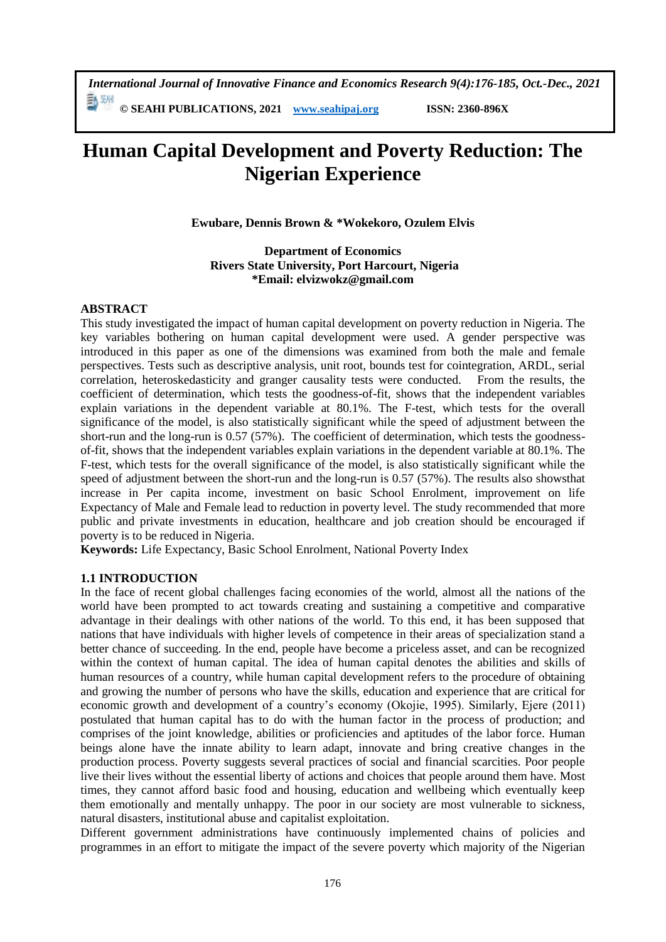*International Journal of Innovative Finance and Economics Research 9(4):176-185, Oct.-Dec., 2021* **© SEAHI PUBLICATIONS, 2021 [www.seahipaj.org](http://www.seahipaj.org/) ISSN: 2360-896X**

**Human Capital Development and Poverty Reduction: The Nigerian Experience**

**Ewubare, Dennis Brown & \*Wokekoro, Ozulem Elvis**

**Department of Economics Rivers State University, Port Harcourt, Nigeria \*Email: elvizwokz@gmail.com**

## **ABSTRACT**

This study investigated the impact of human capital development on poverty reduction in Nigeria. The key variables bothering on human capital development were used. A gender perspective was introduced in this paper as one of the dimensions was examined from both the male and female perspectives. Tests such as descriptive analysis, unit root, bounds test for cointegration, ARDL, serial correlation, heteroskedasticity and granger causality tests were conducted. From the results, the coefficient of determination, which tests the goodness-of-fit, shows that the independent variables explain variations in the dependent variable at 80.1%. The F-test, which tests for the overall significance of the model, is also statistically significant while the speed of adjustment between the short-run and the long-run is 0.57 (57%). The coefficient of determination, which tests the goodnessof-fit, shows that the independent variables explain variations in the dependent variable at 80.1%. The F-test, which tests for the overall significance of the model, is also statistically significant while the speed of adjustment between the short-run and the long-run is 0.57 (57%). The results also showsthat increase in Per capita income, investment on basic School Enrolment, improvement on life Expectancy of Male and Female lead to reduction in poverty level. The study recommended that more public and private investments in education, healthcare and job creation should be encouraged if poverty is to be reduced in Nigeria.

**Keywords:** Life Expectancy, Basic School Enrolment, National Poverty Index

## **1.1 INTRODUCTION**

In the face of recent global challenges facing economies of the world, almost all the nations of the world have been prompted to act towards creating and sustaining a competitive and comparative advantage in their dealings with other nations of the world. To this end, it has been supposed that nations that have individuals with higher levels of competence in their areas of specialization stand a better chance of succeeding. In the end, people have become a priceless asset, and can be recognized within the context of human capital. The idea of human capital denotes the abilities and skills of human resources of a country, while human capital development refers to the procedure of obtaining and growing the number of persons who have the skills, education and experience that are critical for economic growth and development of a country's economy (Okojie, 1995). Similarly, Ejere (2011) postulated that human capital has to do with the human factor in the process of production; and comprises of the joint knowledge, abilities or proficiencies and aptitudes of the labor force. Human beings alone have the innate ability to learn adapt, innovate and bring creative changes in the production process. Poverty suggests several practices of social and financial scarcities. Poor people live their lives without the essential liberty of actions and choices that people around them have. Most times, they cannot afford basic food and housing, education and wellbeing which eventually keep them emotionally and mentally unhappy. The poor in our society are most vulnerable to sickness, natural disasters, institutional abuse and capitalist exploitation.

Different government administrations have continuously implemented chains of policies and programmes in an effort to mitigate the impact of the severe poverty which majority of the Nigerian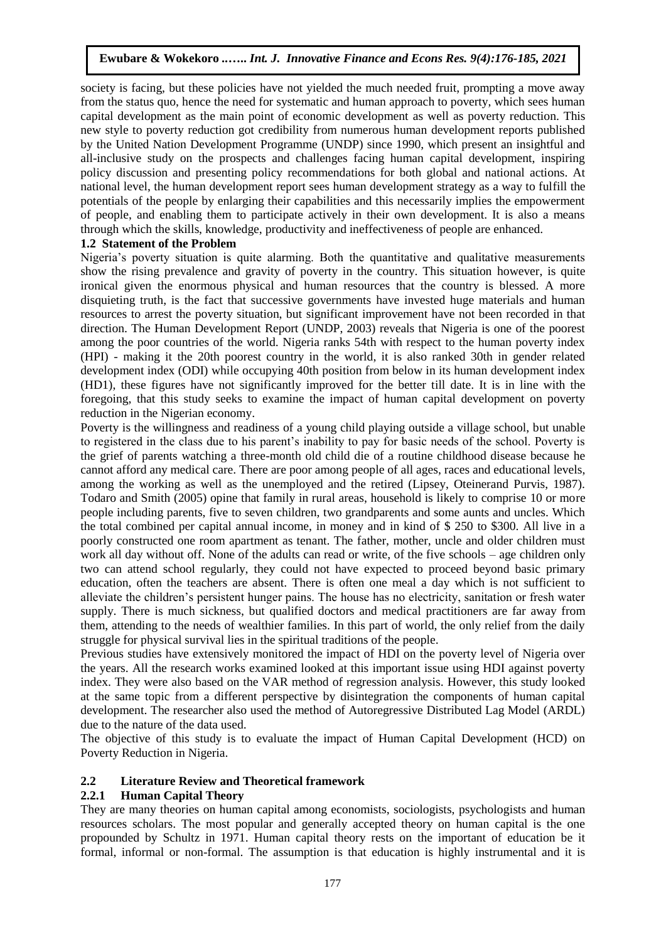society is facing, but these policies have not yielded the much needed fruit, prompting a move away from the status quo, hence the need for systematic and human approach to poverty, which sees human capital development as the main point of economic development as well as poverty reduction. This new style to poverty reduction got credibility from numerous human development reports published by the United Nation Development Programme (UNDP) since 1990, which present an insightful and all-inclusive study on the prospects and challenges facing human capital development, inspiring policy discussion and presenting policy recommendations for both global and national actions. At national level, the human development report sees human development strategy as a way to fulfill the potentials of the people by enlarging their capabilities and this necessarily implies the empowerment of people, and enabling them to participate actively in their own development. It is also a means through which the skills, knowledge, productivity and ineffectiveness of people are enhanced.

# **1.2 Statement of the Problem**

Nigeria's poverty situation is quite alarming. Both the quantitative and qualitative measurements show the rising prevalence and gravity of poverty in the country. This situation however, is quite ironical given the enormous physical and human resources that the country is blessed. A more disquieting truth, is the fact that successive governments have invested huge materials and human resources to arrest the poverty situation, but significant improvement have not been recorded in that direction. The Human Development Report (UNDP, 2003) reveals that Nigeria is one of the poorest among the poor countries of the world. Nigeria ranks 54th with respect to the human poverty index (HPI) - making it the 20th poorest country in the world, it is also ranked 30th in gender related development index (ODI) while occupying 40th position from below in its human development index (HD1), these figures have not significantly improved for the better till date. It is in line with the foregoing, that this study seeks to examine the impact of human capital development on poverty reduction in the Nigerian economy.

Poverty is the willingness and readiness of a young child playing outside a village school, but unable to registered in the class due to his parent's inability to pay for basic needs of the school. Poverty is the grief of parents watching a three-month old child die of a routine childhood disease because he cannot afford any medical care. There are poor among people of all ages, races and educational levels, among the working as well as the unemployed and the retired (Lipsey, Oteinerand Purvis, 1987). Todaro and Smith (2005) opine that family in rural areas, household is likely to comprise 10 or more people including parents, five to seven children, two grandparents and some aunts and uncles. Which the total combined per capital annual income, in money and in kind of \$ 250 to \$300. All live in a poorly constructed one room apartment as tenant. The father, mother, uncle and older children must work all day without off. None of the adults can read or write, of the five schools – age children only two can attend school regularly, they could not have expected to proceed beyond basic primary education, often the teachers are absent. There is often one meal a day which is not sufficient to alleviate the children's persistent hunger pains. The house has no electricity, sanitation or fresh water supply. There is much sickness, but qualified doctors and medical practitioners are far away from them, attending to the needs of wealthier families. In this part of world, the only relief from the daily struggle for physical survival lies in the spiritual traditions of the people.

Previous studies have extensively monitored the impact of HDI on the poverty level of Nigeria over the years. All the research works examined looked at this important issue using HDI against poverty index. They were also based on the VAR method of regression analysis. However, this study looked at the same topic from a different perspective by disintegration the components of human capital development. The researcher also used the method of Autoregressive Distributed Lag Model (ARDL) due to the nature of the data used.

The objective of this study is to evaluate the impact of Human Capital Development (HCD) on Poverty Reduction in Nigeria.

# **2.2 Literature Review and Theoretical framework**

# **2.2.1 Human Capital Theory**

They are many theories on human capital among economists, sociologists, psychologists and human resources scholars. The most popular and generally accepted theory on human capital is the one propounded by Schultz in 1971. Human capital theory rests on the important of education be it formal, informal or non-formal. The assumption is that education is highly instrumental and it is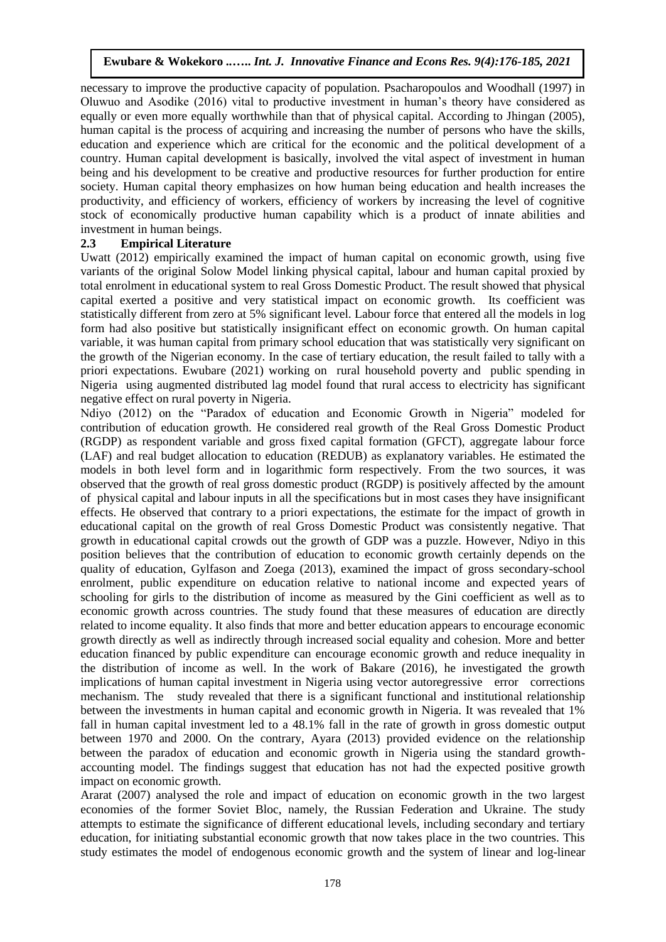necessary to improve the productive capacity of population. Psacharopoulos and Woodhall (1997) in Oluwuo and Asodike (2016) vital to productive investment in human's theory have considered as equally or even more equally worthwhile than that of physical capital. According to Jhingan (2005), human capital is the process of acquiring and increasing the number of persons who have the skills, education and experience which are critical for the economic and the political development of a country. Human capital development is basically, involved the vital aspect of investment in human being and his development to be creative and productive resources for further production for entire society. Human capital theory emphasizes on how human being education and health increases the productivity, and efficiency of workers, efficiency of workers by increasing the level of cognitive stock of economically productive human capability which is a product of innate abilities and investment in human beings.

# **2.3 Empirical Literature**

Uwatt (2012) empirically examined the impact of human capital on economic growth, using five variants of the original Solow Model linking physical capital, labour and human capital proxied by total enrolment in educational system to real Gross Domestic Product. The result showed that physical capital exerted a positive and very statistical impact on economic growth. Its coefficient was statistically different from zero at 5% significant level. Labour force that entered all the models in log form had also positive but statistically insignificant effect on economic growth. On human capital variable, it was human capital from primary school education that was statistically very significant on the growth of the Nigerian economy. In the case of tertiary education, the result failed to tally with a priori expectations. Ewubare (2021) working on rural household poverty and public spending in Nigeria using augmented distributed lag model found that rural access to electricity has significant negative effect on rural poverty in Nigeria.

Ndiyo (2012) on the "Paradox of education and Economic Growth in Nigeria" modeled for contribution of education growth. He considered real growth of the Real Gross Domestic Product (RGDP) as respondent variable and gross fixed capital formation (GFCT), aggregate labour force (LAF) and real budget allocation to education (REDUB) as explanatory variables. He estimated the models in both level form and in logarithmic form respectively. From the two sources, it was observed that the growth of real gross domestic product (RGDP) is positively affected by the amount of physical capital and labour inputs in all the specifications but in most cases they have insignificant effects. He observed that contrary to a priori expectations, the estimate for the impact of growth in educational capital on the growth of real Gross Domestic Product was consistently negative. That growth in educational capital crowds out the growth of GDP was a puzzle. However, Ndiyo in this position believes that the contribution of education to economic growth certainly depends on the quality of education, Gylfason and Zoega (2013), examined the impact of gross secondary-school enrolment, public expenditure on education relative to national income and expected years of schooling for girls to the distribution of income as measured by the Gini coefficient as well as to economic growth across countries. The study found that these measures of education are directly related to income equality. It also finds that more and better education appears to encourage economic growth directly as well as indirectly through increased social equality and cohesion. More and better education financed by public expenditure can encourage economic growth and reduce inequality in the distribution of income as well. In the work of Bakare (2016), he investigated the growth implications of human capital investment in Nigeria using vector autoregressive error corrections mechanism. The study revealed that there is a significant functional and institutional relationship between the investments in human capital and economic growth in Nigeria. It was revealed that 1% fall in human capital investment led to a 48.1% fall in the rate of growth in gross domestic output between 1970 and 2000. On the contrary, Ayara (2013) provided evidence on the relationship between the paradox of education and economic growth in Nigeria using the standard growthaccounting model. The findings suggest that education has not had the expected positive growth impact on economic growth.

Ararat (2007) analysed the role and impact of education on economic growth in the two largest economies of the former Soviet Bloc, namely, the Russian Federation and Ukraine. The study attempts to estimate the significance of different educational levels, including secondary and tertiary education, for initiating substantial economic growth that now takes place in the two countries. This study estimates the model of endogenous economic growth and the system of linear and log-linear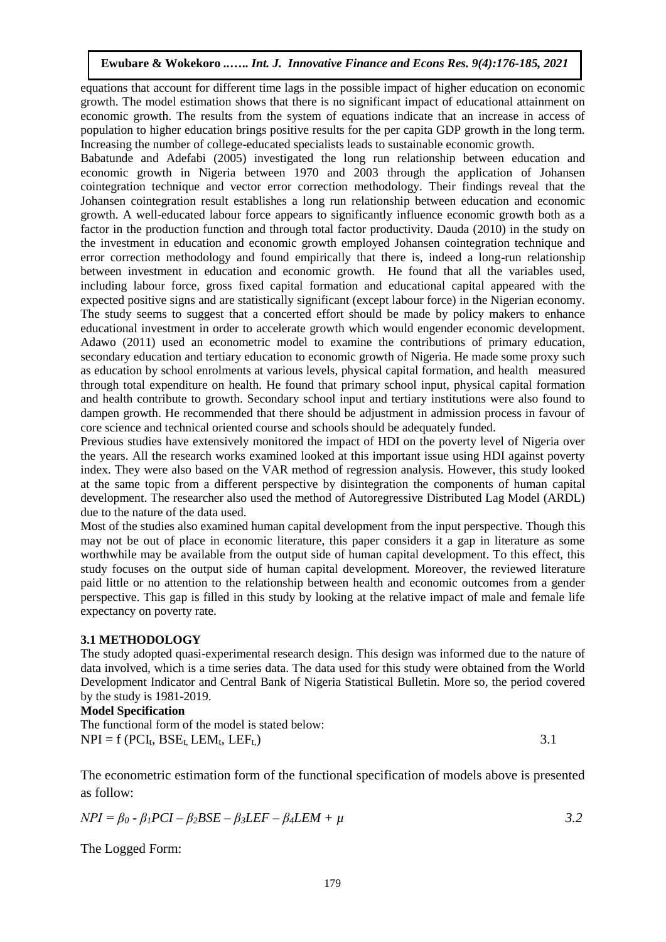equations that account for different time lags in the possible impact of higher education on economic growth. The model estimation shows that there is no significant impact of educational attainment on economic growth. The results from the system of equations indicate that an increase in access of population to higher education brings positive results for the per capita GDP growth in the long term. Increasing the number of college-educated specialists leads to sustainable economic growth.

Babatunde and Adefabi (2005) investigated the long run relationship between education and economic growth in Nigeria between 1970 and 2003 through the application of Johansen cointegration technique and vector error correction methodology. Their findings reveal that the Johansen cointegration result establishes a long run relationship between education and economic growth. A well-educated labour force appears to significantly influence economic growth both as a factor in the production function and through total factor productivity. Dauda (2010) in the study on the investment in education and economic growth employed Johansen cointegration technique and error correction methodology and found empirically that there is, indeed a long-run relationship between investment in education and economic growth. He found that all the variables used, including labour force, gross fixed capital formation and educational capital appeared with the expected positive signs and are statistically significant (except labour force) in the Nigerian economy. The study seems to suggest that a concerted effort should be made by policy makers to enhance educational investment in order to accelerate growth which would engender economic development. Adawo (2011) used an econometric model to examine the contributions of primary education, secondary education and tertiary education to economic growth of Nigeria. He made some proxy such as education by school enrolments at various levels, physical capital formation, and health measured through total expenditure on health. He found that primary school input, physical capital formation and health contribute to growth. Secondary school input and tertiary institutions were also found to dampen growth. He recommended that there should be adjustment in admission process in favour of core science and technical oriented course and schools should be adequately funded.

Previous studies have extensively monitored the impact of HDI on the poverty level of Nigeria over the years. All the research works examined looked at this important issue using HDI against poverty index. They were also based on the VAR method of regression analysis. However, this study looked at the same topic from a different perspective by disintegration the components of human capital development. The researcher also used the method of Autoregressive Distributed Lag Model (ARDL) due to the nature of the data used.

Most of the studies also examined human capital development from the input perspective. Though this may not be out of place in economic literature, this paper considers it a gap in literature as some worthwhile may be available from the output side of human capital development. To this effect, this study focuses on the output side of human capital development. Moreover, the reviewed literature paid little or no attention to the relationship between health and economic outcomes from a gender perspective. This gap is filled in this study by looking at the relative impact of male and female life expectancy on poverty rate.

## **3.1 METHODOLOGY**

The study adopted quasi-experimental research design. This design was informed due to the nature of data involved, which is a time series data. The data used for this study were obtained from the World Development Indicator and Central Bank of Nigeria Statistical Bulletin. More so, the period covered by the study is 1981-2019.

## **Model Specification**

The functional form of the model is stated below:  $NPI = f (PCI<sub>t</sub>, BSE<sub>t</sub>, LEM<sub>t</sub>, LEF<sub>t</sub>)$  3.1

The econometric estimation form of the functional specification of models above is presented as follow:

$$
NPI = \beta_0 - \beta_1 PCI - \beta_2 BSE - \beta_3 LEF - \beta_4 LEM + \mu
$$

The Logged Form: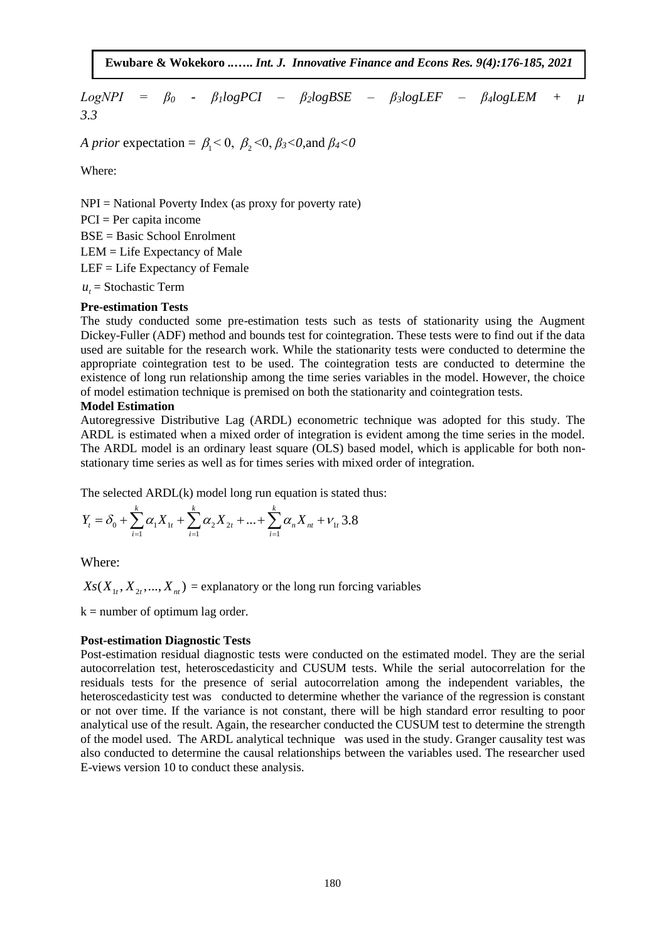$LogNPI = \beta_0$  -  $\beta_1 logPCI - \beta_2 logBSE - \beta_3 logLEF - \beta_4 logLEM + \mu$ *3.3*

*A prior* expectation =  $\beta_1 < 0$ ,  $\beta_2 < 0$ ,  $\beta_3 < 0$ , and  $\beta_4 < 0$ 

Where:

 $NPI = National Powertv Index$  (as proxy for poverty rate)  $PCI = Per$  capita income BSE = Basic School Enrolment LEM = Life Expectancy of Male LEF = Life Expectancy of Female  $u_t$  = Stochastic Term

## **Pre-estimation Tests**

The study conducted some pre-estimation tests such as tests of stationarity using the Augment Dickey-Fuller (ADF) method and bounds test for cointegration. These tests were to find out if the data used are suitable for the research work. While the stationarity tests were conducted to determine the appropriate cointegration test to be used. The cointegration tests are conducted to determine the existence of long run relationship among the time series variables in the model. However, the choice of model estimation technique is premised on both the stationarity and cointegration tests.

#### **Model Estimation**

Autoregressive Distributive Lag (ARDL) econometric technique was adopted for this study. The ARDL is estimated when a mixed order of integration is evident among the time series in the model. The ARDL model is an ordinary least square (OLS) based model, which is applicable for both nonstationary time series as well as for times series with mixed order of integration.

The selected ARDL(k) model long run equation is stated thus:  
\n
$$
Y_t = \delta_0 + \sum_{i=1}^k \alpha_i X_{1t} + \sum_{i=1}^k \alpha_i X_{2t} + ... + \sum_{i=1}^k \alpha_i X_{ni} + v_{1t} 3.8
$$

Where:

 $X_s(X_{1t}, X_{2t},..., X_{nt})$  = explanatory or the long run forcing variables

 $k =$  number of optimum lag order.

### **Post-estimation Diagnostic Tests**

Post-estimation residual diagnostic tests were conducted on the estimated model. They are the serial autocorrelation test, heteroscedasticity and CUSUM tests. While the serial autocorrelation for the residuals tests for the presence of serial autocorrelation among the independent variables, the heteroscedasticity test was conducted to determine whether the variance of the regression is constant or not over time. If the variance is not constant, there will be high standard error resulting to poor analytical use of the result. Again, the researcher conducted the CUSUM test to determine the strength of the model used. The ARDL analytical technique was used in the study. Granger causality test was also conducted to determine the causal relationships between the variables used. The researcher used E-views version 10 to conduct these analysis.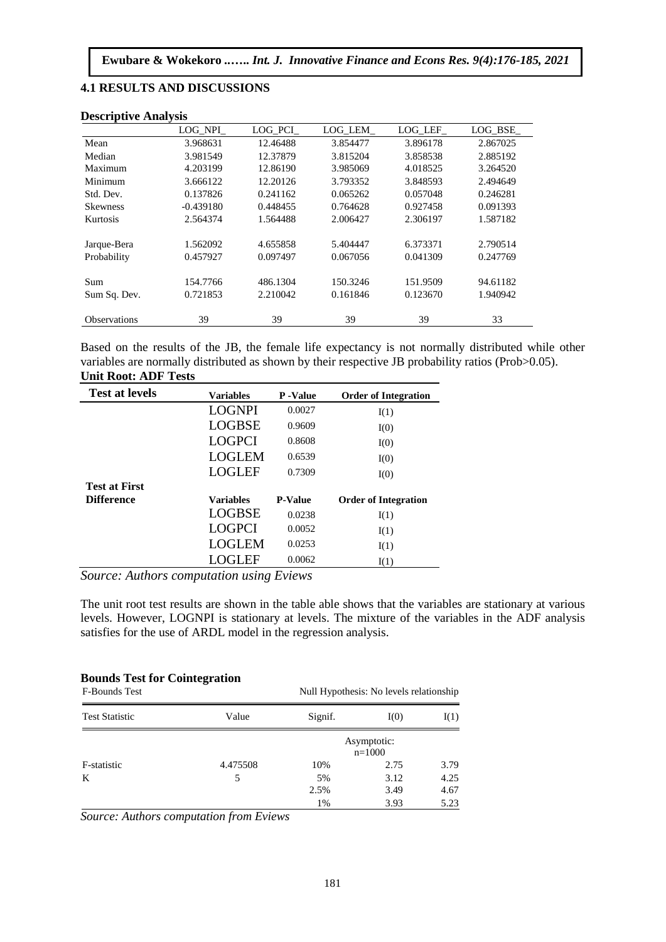## **4.1 RESULTS AND DISCUSSIONS**

| Deseriptive Tringersh |             |          |          |          |          |
|-----------------------|-------------|----------|----------|----------|----------|
|                       | LOG NPI     | LOG PCI  | LOG LEM  | LOG LEF  | LOG BSE  |
| Mean                  | 3.968631    | 12.46488 | 3.854477 | 3.896178 | 2.867025 |
| Median                | 3.981549    | 12.37879 | 3.815204 | 3.858538 | 2.885192 |
| Maximum               | 4.203199    | 12.86190 | 3.985069 | 4.018525 | 3.264520 |
| Minimum               | 3.666122    | 12.20126 | 3.793352 | 3.848593 | 2.494649 |
| Std. Dev.             | 0.137826    | 0.241162 | 0.065262 | 0.057048 | 0.246281 |
| <b>Skewness</b>       | $-0.439180$ | 0.448455 | 0.764628 | 0.927458 | 0.091393 |
| Kurtosis              | 2.564374    | 1.564488 | 2.006427 | 2.306197 | 1.587182 |
| Jarque-Bera           | 1.562092    | 4.655858 | 5.404447 | 6.373371 | 2.790514 |
| Probability           | 0.457927    | 0.097497 | 0.067056 | 0.041309 | 0.247769 |
| Sum                   | 154.7766    | 486.1304 | 150.3246 | 151.9509 | 94.61182 |
| Sum Sq. Dev.          | 0.721853    | 2.210042 | 0.161846 | 0.123670 | 1.940942 |
| <b>Observations</b>   | 39          | 39       | 39       | 39       | 33       |

#### **Descriptive Analysis**

Based on the results of the JB, the female life expectancy is not normally distributed while other variables are normally distributed as shown by their respective JB probability ratios (Prob>0.05). **Unit Root: ADF Tests**

| <b>Test at levels</b> | <b>Variables</b> | P-Value        | <b>Order of Integration</b> |
|-----------------------|------------------|----------------|-----------------------------|
|                       | <b>LOGNPI</b>    | 0.0027         | I(1)                        |
|                       | <b>LOGBSE</b>    | 0.9609         | I(0)                        |
|                       | <b>LOGPCI</b>    | 0.8608         | I(0)                        |
|                       | <b>LOGLEM</b>    | 0.6539         | I(0)                        |
|                       | <b>LOGLEF</b>    | 0.7309         | I(0)                        |
| <b>Test at First</b>  |                  |                |                             |
| <b>Difference</b>     | <b>Variables</b> | <b>P-Value</b> | <b>Order of Integration</b> |
|                       | <b>LOGBSE</b>    | 0.0238         | I(1)                        |
|                       | <b>LOGPCI</b>    | 0.0052         | I(1)                        |
|                       | <b>LOGLEM</b>    | 0.0253         | I(1)                        |
|                       | <b>LOGLEF</b>    | 0.0062         | I(1)                        |

*Source: Authors computation using Eviews*

The unit root test results are shown in the table able shows that the variables are stationary at various levels. However, LOGNPI is stationary at levels. The mixture of the variables in the ADF analysis satisfies for the use of ARDL model in the regression analysis.

### **Bounds Test for Cointegration**

| <b>F-Bounds Test</b>  |          | Null Hypothesis: No levels relationship |      |      |
|-----------------------|----------|-----------------------------------------|------|------|
| <b>Test Statistic</b> | Value    | Signif.                                 | I(0) | I(1) |
|                       |          | Asymptotic:<br>$n=1000$                 |      |      |
| F-statistic           | 4.475508 | 10%                                     | 2.75 | 3.79 |
| K                     | 5        | 5%                                      | 3.12 | 4.25 |
|                       |          | 2.5%                                    | 3.49 | 4.67 |
|                       |          | 1%                                      | 3.93 | 5.23 |

*Source: Authors computation from Eviews*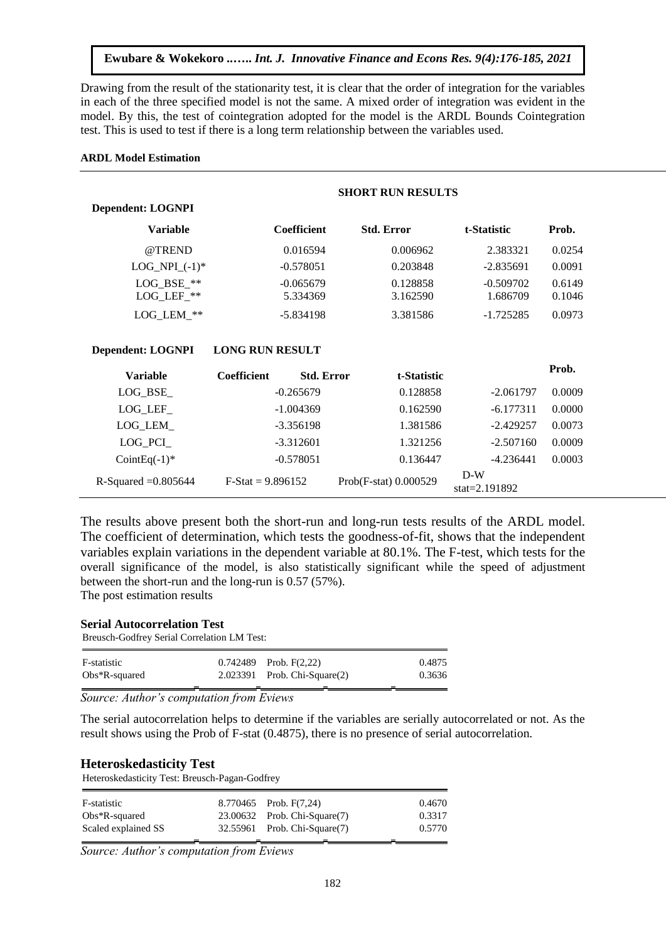Drawing from the result of the stationarity test, it is clear that the order of integration for the variables in each of the three specified model is not the same. A mixed order of integration was evident in the model. By this, the test of cointegration adopted for the model is the ARDL Bounds Cointegration test. This is used to test if there is a long term relationship between the variables used.

#### **ARDL Model Estimation**

|                                                    | <b>SHORT RUN RESULTS</b> |                                  |                           |        |  |
|----------------------------------------------------|--------------------------|----------------------------------|---------------------------|--------|--|
| <b>Dependent: LOGNPI</b>                           |                          |                                  |                           |        |  |
| <b>Variable</b>                                    | <b>Coefficient</b>       | <b>Std. Error</b>                | t-Statistic               | Prob.  |  |
| @TREND                                             | 0.016594                 | 0.006962                         | 2.383321                  | 0.0254 |  |
| $LOG_NPI_{-}(-1)$ *                                | $-0.578051$              | 0.203848                         | $-2.835691$               | 0.0091 |  |
| LOG BSE **                                         | $-0.065679$              | 0.128858                         | $-0.509702$               | 0.6149 |  |
| $LOG$ <sub>_</sub> LEF <sub><math>-*</math>*</sub> | 5.334369                 | 3.162590                         | 1.686709                  | 0.1046 |  |
| LOG_LEM_**                                         | $-5.834198$              | 3.381586                         | $-1.725285$               | 0.0973 |  |
| <b>Dependent: LOGNPI</b>                           | <b>LONG RUN RESULT</b>   |                                  |                           |        |  |
| <b>Variable</b>                                    | <b>Coefficient</b>       | <b>Std. Error</b><br>t-Statistic |                           | Prob.  |  |
| $LOG_BSE_$                                         | $-0.265679$              | 0.128858                         | $-2.061797$               | 0.0009 |  |
| LOG_LEF_                                           | $-1.004369$              | 0.162590                         | $-6.177311$               | 0.0000 |  |
| LOG_LEM_                                           | $-3.356198$              | 1.381586                         | $-2.429257$               | 0.0073 |  |
| $LOG_PCI$                                          | $-3.312601$              | 1.321256                         | $-2.507160$               | 0.0009 |  |
| Coint Eq $(-1)^*$                                  | $-0.578051$              | 0.136447                         | $-4.236441$               | 0.0003 |  |
| R-Squared $=0.805644$                              | $F-Stat = 9.896152$      | Prob(F-stat) 0.000529            | $D-W$<br>stat= $2.191892$ |        |  |

The results above present both the short-run and long-run tests results of the ARDL model. The coefficient of determination, which tests the goodness-of-fit, shows that the independent variables explain variations in the dependent variable at 80.1%. The F-test, which tests for the overall significance of the model, is also statistically significant while the speed of adjustment between the short-run and the long-run is 0.57 (57%). The post estimation results

### **Serial Autocorrelation Test**

Breusch-Godfrey Serial Correlation LM Test:

| F-statistic      |   | $0.742489$ Prob. $F(2,22)$        | 0.4875 |
|------------------|---|-----------------------------------|--------|
| $Obs*R$ -squared |   | $2.023391$ Prob. Chi-Square $(2)$ | 0.3636 |
|                  | - |                                   |        |

*Source: Author's computation from Eviews*

The serial autocorrelation helps to determine if the variables are serially autocorrelated or not. As the result shows using the Prob of F-stat (0.4875), there is no presence of serial autocorrelation.

## **Heteroskedasticity Test**

Heteroskedasticity Test: Breusch-Pagan-Godfrey

| F-statistic         | 8.770465 Prob. F(7.24)       | 0.4670 |
|---------------------|------------------------------|--------|
| $Obs*R$ -squared    | 23.00632 Prob. Chi-Square(7) | 0.3317 |
| Scaled explained SS | 32.55961 Prob. Chi-Square(7) | 0.5770 |
|                     |                              |        |

*Source: Author's computation from Eviews*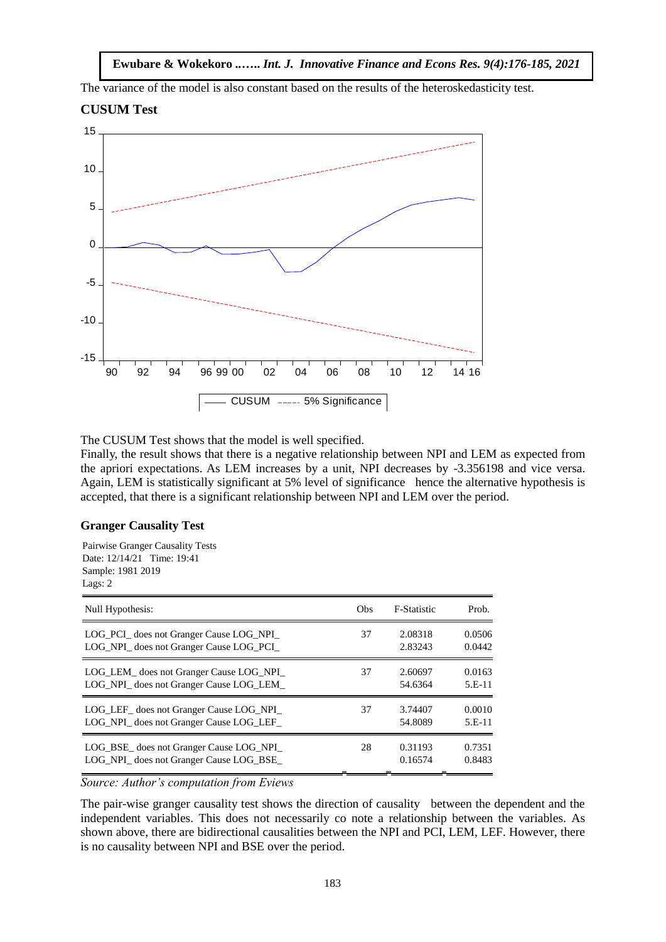The variance of the model is also constant based on the results of the heteroskedasticity test.





The CUSUM Test shows that the model is well specified.

Finally, the result shows that there is a negative relationship between NPI and LEM as expected from the apriori expectations. As LEM increases by a unit, NPI decreases by -3.356198 and vice versa. Again, LEM is statistically significant at 5% level of significance hence the alternative hypothesis is accepted, that there is a significant relationship between NPI and LEM over the period.

## **Granger Causality Test**

Pairwise Granger Causality Tests Date: 12/14/21 Time: 19:41 Sample: 1981 2019 Lags: 2

| Null Hypothesis:                         | O <sub>bs</sub> | <b>F-Statistic</b> | Prob.    |
|------------------------------------------|-----------------|--------------------|----------|
| LOG PCI does not Granger Cause LOG NPI   | 37              | 2.08318            | 0.0506   |
| LOG_NPI_ does not Granger Cause LOG_PCI_ |                 | 2.83243            | 0.0442   |
| LOG LEM does not Granger Cause LOG NPI   | 37              | 2.60697            | 0.0163   |
| LOG_NPI_ does not Granger Cause LOG_LEM_ |                 | 54.6364            | $5.E-11$ |
| LOG LEF does not Granger Cause LOG NPI   | 37              | 3.74407            | 0.0010   |
| LOG NPI does not Granger Cause LOG LEF   |                 | 54.8089            | $5.E-11$ |
| LOG_BSE_does not Granger Cause LOG_NPI_  | 28              | 0.31193            | 0.7351   |
| LOG NPI does not Granger Cause LOG BSE   |                 | 0.16574            | 0.8483   |

*Source: Author's computation from Eviews*

The pair-wise granger causality test shows the direction of causality between the dependent and the independent variables. This does not necessarily co note a relationship between the variables. As shown above, there are bidirectional causalities between the NPI and PCI, LEM, LEF. However, there is no causality between NPI and BSE over the period.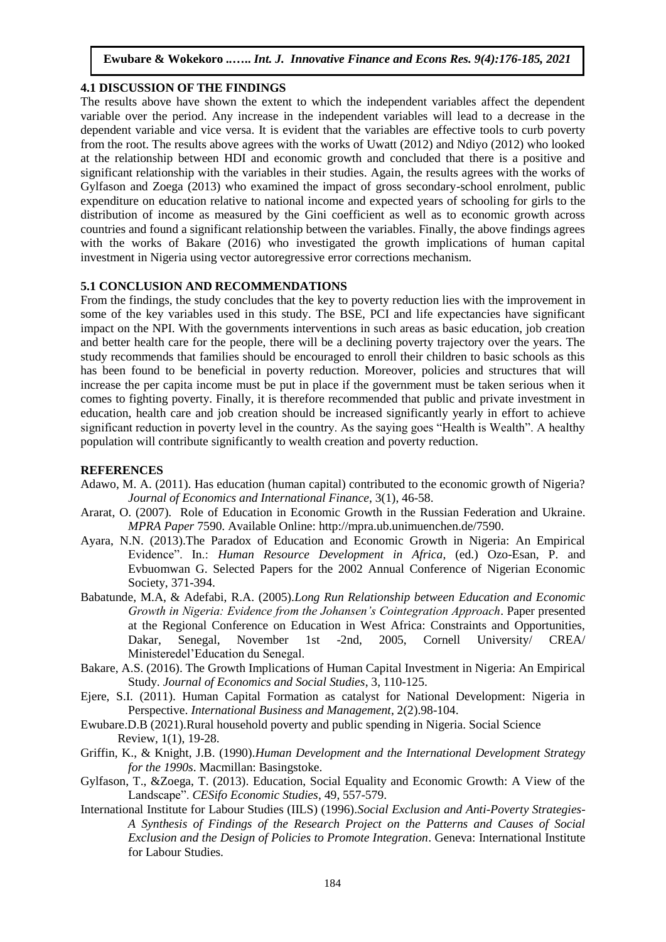## **4.1 DISCUSSION OF THE FINDINGS**

The results above have shown the extent to which the independent variables affect the dependent variable over the period. Any increase in the independent variables will lead to a decrease in the dependent variable and vice versa. It is evident that the variables are effective tools to curb poverty from the root. The results above agrees with the works of Uwatt (2012) and Ndiyo (2012) who looked at the relationship between HDI and economic growth and concluded that there is a positive and significant relationship with the variables in their studies. Again, the results agrees with the works of Gylfason and Zoega (2013) who examined the impact of gross secondary-school enrolment, public expenditure on education relative to national income and expected years of schooling for girls to the distribution of income as measured by the Gini coefficient as well as to economic growth across countries and found a significant relationship between the variables. Finally, the above findings agrees with the works of Bakare (2016) who investigated the growth implications of human capital investment in Nigeria using vector autoregressive error corrections mechanism.

# **5.1 CONCLUSION AND RECOMMENDATIONS**

From the findings, the study concludes that the key to poverty reduction lies with the improvement in some of the key variables used in this study. The BSE, PCI and life expectancies have significant impact on the NPI. With the governments interventions in such areas as basic education, job creation and better health care for the people, there will be a declining poverty trajectory over the years. The study recommends that families should be encouraged to enroll their children to basic schools as this has been found to be beneficial in poverty reduction. Moreover, policies and structures that will increase the per capita income must be put in place if the government must be taken serious when it comes to fighting poverty. Finally, it is therefore recommended that public and private investment in education, health care and job creation should be increased significantly yearly in effort to achieve significant reduction in poverty level in the country. As the saying goes "Health is Wealth". A healthy population will contribute significantly to wealth creation and poverty reduction.

## **REFERENCES**

- Adawo, M. A. (2011). Has education (human capital) contributed to the economic growth of Nigeria? *Journal of Economics and International Finance*, 3(1), 46-58.
- Ararat, O. (2007). Role of Education in Economic Growth in the Russian Federation and Ukraine. *MPRA Paper* 7590. Available Online: http://mpra.ub.unimuenchen.de/7590.
- Ayara, N.N. (2013).The Paradox of Education and Economic Growth in Nigeria: An Empirical Evidence". In.: *Human Resource Development in Africa*, (ed.) Ozo-Esan, P. and Evbuomwan G. Selected Papers for the 2002 Annual Conference of Nigerian Economic Society, 371-394.
- Babatunde, M.A, & Adefabi, R.A. (2005).*Long Run Relationship between Education and Economic Growth in Nigeria: Evidence from the Johansen's Cointegration Approach*. Paper presented at the Regional Conference on Education in West Africa: Constraints and Opportunities, Dakar, Senegal, November 1st -2nd, 2005, Cornell University/ CREA/ Ministeredel'Education du Senegal.
- Bakare, A.S. (2016). The Growth Implications of Human Capital Investment in Nigeria: An Empirical Study. *Journal of Economics and Social Studies*, 3, 110-125.
- Ejere, S.I. (2011). Human Capital Formation as catalyst for National Development: Nigeria in Perspective. *International Business and Management*, 2(2).98-104.
- Ewubare.D.B (2021).Rural household poverty and public spending in Nigeria. Social Science Review, 1(1), 19-28.
- Griffin, K., & Knight, J.B. (1990).*Human Development and the International Development Strategy for the 1990s*. Macmillan: Basingstoke.
- Gylfason, T., &Zoega, T. (2013). Education, Social Equality and Economic Growth: A View of the Landscape". *CESifo Economic Studies*, 49, 557-579.
- International Institute for Labour Studies (IILS) (1996).*Social Exclusion and Anti-Poverty Strategies-A Synthesis of Findings of the Research Project on the Patterns and Causes of Social Exclusion and the Design of Policies to Promote Integration*. Geneva: International Institute for Labour Studies.